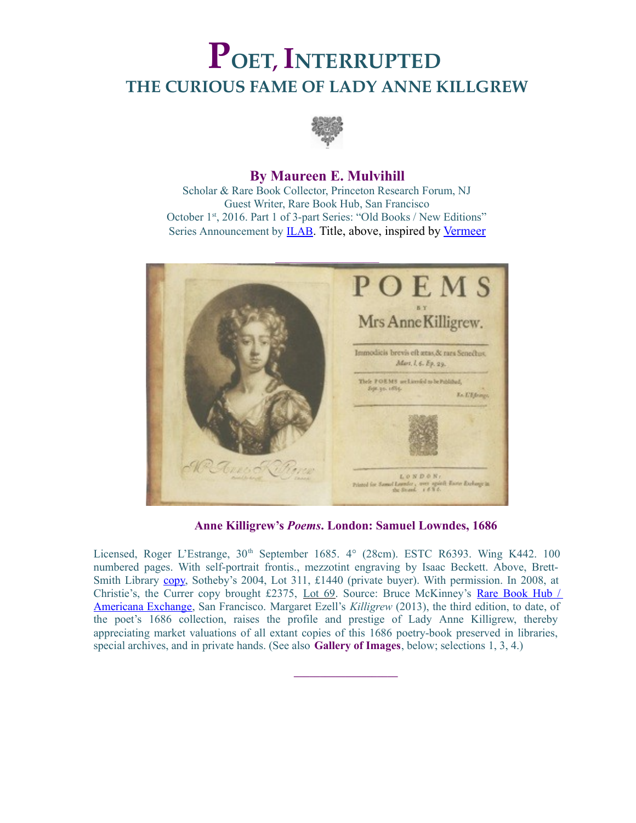# **POET, INTERRUPTED THE CURIOUS FAME OF LADY ANNE KILLGREW**



#### **By Maureen E. Mulvihill**

Scholar & Rare Book Collector, Princeton Research Forum, NJ Guest Writer, Rare Book Hub, San Francisco October 1st, 2016. Part 1 of 3-part Series: "Old Books / New Editions" Series Announcement by [ILAB](https://www.ilab.org/eng/news/2621-old-books___new_editions_-_3_essays_by_maureen_e_mulvihill.html). Title, above, inspired by [Vermeer](http://collections.frick.org/view/objects/asitem/items$0040:273)



**Anne Killigrew's** *Poems***. London: Samuel Lowndes, 1686**

**\_\_\_\_\_\_\_\_\_\_\_\_\_\_\_\_\_\_\_\_**

Licensed, Roger L'Estrange,  $30<sup>th</sup>$  September 1685.  $4<sup>o</sup>$  (28cm). ESTC R6393. Wing K442. 100 numbered pages. With self-portrait frontis., mezzotint engraving by Isaac Beckett. Above, BrettSmith Library [copy,](http://www.sothebys.com/en/auctions/ecatalogue/2004/the-library-of-john-rb-brett-smith-l04408/lot.311.html) Sotheby's 2004, Lot 311, £1440 (private buyer). With permission. In 2008, at Christie's, the Currer copy brought £2375, [Lot 69.](http://www.christies.com/lotfinder/books-manuscripts/killigrew-anne-poems-london-for-5146449-details.aspx) Source: Bruce McKinney's [Rare Book Hub /](http://www.rarebookhub.com/) [Americana Exchange,](http://www.rarebookhub.com/) San Francisco. Margaret Ezell's *Killigrew* (2013), the third edition, to date, of the poet's 1686 collection, raises the profile and prestige of Lady Anne Killigrew, thereby appreciating market valuations of all extant copies of this 1686 poetry-book preserved in libraries, special archives, and in private hands. (See also **Gallery of Images**, below; selections 1, 3, 4.)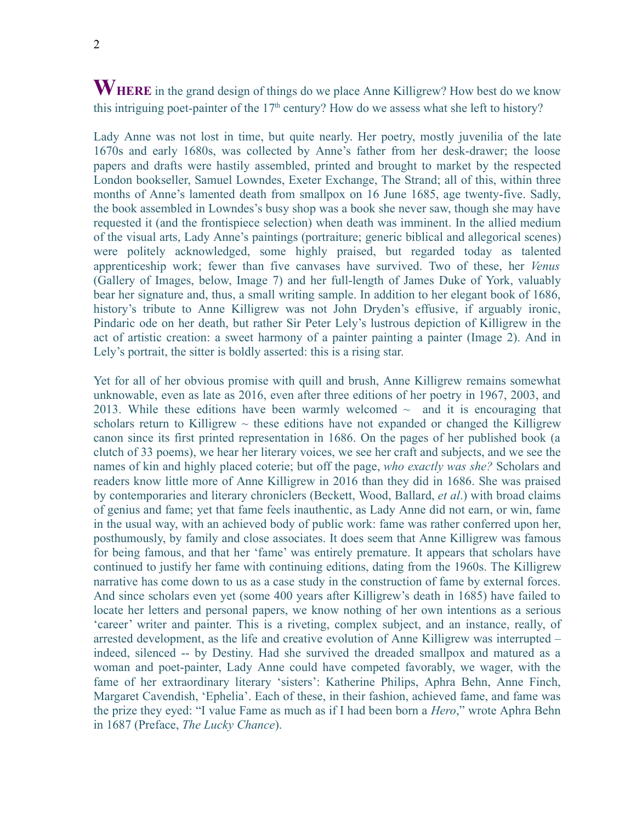## **WHERE** in the grand design of things do we place Anne Killigrew? How best do we know this intriguing poet-painter of the  $17<sup>th</sup>$  century? How do we assess what she left to history?

Lady Anne was not lost in time, but quite nearly. Her poetry, mostly juvenilia of the late 1670s and early 1680s, was collected by Anne's father from her desk-drawer; the loose papers and drafts were hastily assembled, printed and brought to market by the respected London bookseller, Samuel Lowndes, Exeter Exchange, The Strand; all of this, within three months of Anne's lamented death from smallpox on 16 June 1685, age twenty-five. Sadly, the book assembled in Lowndes's busy shop was a book she never saw, though she may have requested it (and the frontispiece selection) when death was imminent. In the allied medium of the visual arts, Lady Anne's paintings (portraiture; generic biblical and allegorical scenes) were politely acknowledged, some highly praised, but regarded today as talented apprenticeship work; fewer than five canvases have survived. Two of these, her *Venus* (Gallery of Images, below, Image 7) and her full-length of James Duke of York, valuably bear her signature and, thus, a small writing sample. In addition to her elegant book of 1686, history's tribute to Anne Killigrew was not John Dryden's effusive, if arguably ironic, Pindaric ode on her death, but rather Sir Peter Lely's lustrous depiction of Killigrew in the act of artistic creation: a sweet harmony of a painter painting a painter (Image 2). And in Lely's portrait, the sitter is boldly asserted: this is a rising star.

Yet for all of her obvious promise with quill and brush, Anne Killigrew remains somewhat unknowable, even as late as 2016, even after three editions of her poetry in 1967, 2003, and 2013. While these editions have been warmly welcomed  $\sim$  and it is encouraging that scholars return to Killigrew  $\sim$  these editions have not expanded or changed the Killigrew canon since its first printed representation in 1686. On the pages of her published book (a clutch of 33 poems), we hear her literary voices, we see her craft and subjects, and we see the names of kin and highly placed coterie; but off the page, *who exactly was she?* Scholars and readers know little more of Anne Killigrew in 2016 than they did in 1686. She was praised by contemporaries and literary chroniclers (Beckett, Wood, Ballard, *et al*.) with broad claims of genius and fame; yet that fame feels inauthentic, as Lady Anne did not earn, or win, fame in the usual way, with an achieved body of public work: fame was rather conferred upon her, posthumously, by family and close associates. It does seem that Anne Killigrew was famous for being famous, and that her 'fame' was entirely premature. It appears that scholars have continued to justify her fame with continuing editions, dating from the 1960s. The Killigrew narrative has come down to us as a case study in the construction of fame by external forces. And since scholars even yet (some 400 years after Killigrew's death in 1685) have failed to locate her letters and personal papers, we know nothing of her own intentions as a serious 'career' writer and painter. This is a riveting, complex subject, and an instance, really, of arrested development, as the life and creative evolution of Anne Killigrew was interrupted – indeed, silenced -- by Destiny. Had she survived the dreaded smallpox and matured as a woman and poet-painter, Lady Anne could have competed favorably, we wager, with the fame of her extraordinary literary 'sisters': Katherine Philips, Aphra Behn, Anne Finch, Margaret Cavendish, 'Ephelia'. Each of these, in their fashion, achieved fame, and fame was the prize they eyed: "I value Fame as much as if I had been born a *Hero*," wrote Aphra Behn in 1687 (Preface, *The Lucky Chance*).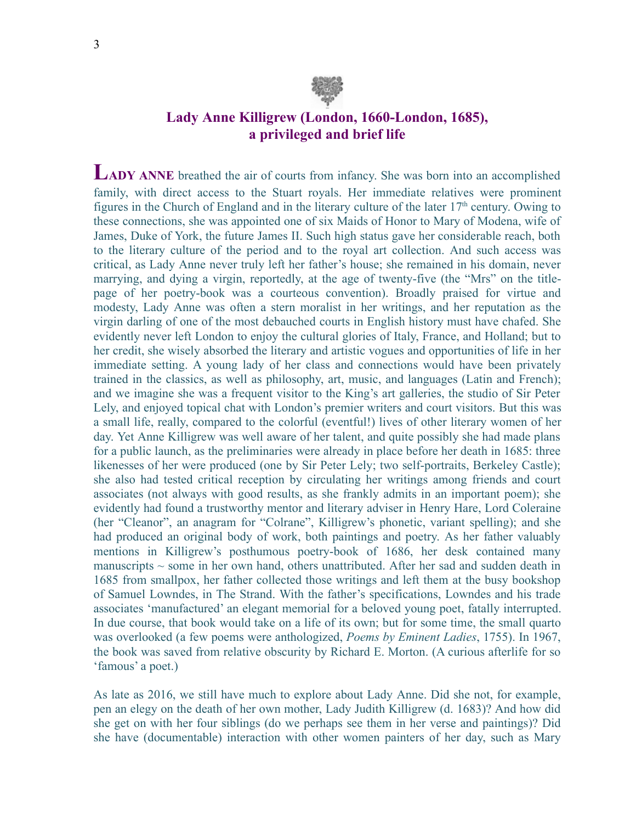

### **Lady Anne Killigrew (London, 1660-London, 1685), a privileged and brief life**

**LADY ANNE** breathed the air of courts from infancy. She was born into an accomplished family, with direct access to the Stuart royals. Her immediate relatives were prominent figures in the Church of England and in the literary culture of the later  $17<sup>th</sup>$  century. Owing to these connections, she was appointed one of six Maids of Honor to Mary of Modena, wife of James, Duke of York, the future James II. Such high status gave her considerable reach, both to the literary culture of the period and to the royal art collection. And such access was critical, as Lady Anne never truly left her father's house; she remained in his domain, never marrying, and dying a virgin, reportedly, at the age of twenty-five (the "Mrs" on the titlepage of her poetry-book was a courteous convention). Broadly praised for virtue and modesty, Lady Anne was often a stern moralist in her writings, and her reputation as the virgin darling of one of the most debauched courts in English history must have chafed. She evidently never left London to enjoy the cultural glories of Italy, France, and Holland; but to her credit, she wisely absorbed the literary and artistic vogues and opportunities of life in her immediate setting. A young lady of her class and connections would have been privately trained in the classics, as well as philosophy, art, music, and languages (Latin and French); and we imagine she was a frequent visitor to the King's art galleries, the studio of Sir Peter Lely, and enjoyed topical chat with London's premier writers and court visitors. But this was a small life, really, compared to the colorful (eventful!) lives of other literary women of her day. Yet Anne Killigrew was well aware of her talent, and quite possibly she had made plans for a public launch, as the preliminaries were already in place before her death in 1685: three likenesses of her were produced (one by Sir Peter Lely; two self-portraits, Berkeley Castle); she also had tested critical reception by circulating her writings among friends and court associates (not always with good results, as she frankly admits in an important poem); she evidently had found a trustworthy mentor and literary adviser in Henry Hare, Lord Coleraine (her "Cleanor", an anagram for "Colrane", Killigrew's phonetic, variant spelling); and she had produced an original body of work, both paintings and poetry. As her father valuably mentions in Killigrew's posthumous poetry-book of 1686, her desk contained many manuscripts  $\sim$  some in her own hand, others unattributed. After her sad and sudden death in 1685 from smallpox, her father collected those writings and left them at the busy bookshop of Samuel Lowndes, in The Strand. With the father's specifications, Lowndes and his trade associates 'manufactured' an elegant memorial for a beloved young poet, fatally interrupted. In due course, that book would take on a life of its own; but for some time, the small quarto was overlooked (a few poems were anthologized, *Poems by Eminent Ladies*, 1755). In 1967, the book was saved from relative obscurity by Richard E. Morton. (A curious afterlife for so 'famous' a poet.)

As late as 2016, we still have much to explore about Lady Anne. Did she not, for example, pen an elegy on the death of her own mother, Lady Judith Killigrew (d. 1683)? And how did she get on with her four siblings (do we perhaps see them in her verse and paintings)? Did she have (documentable) interaction with other women painters of her day, such as Mary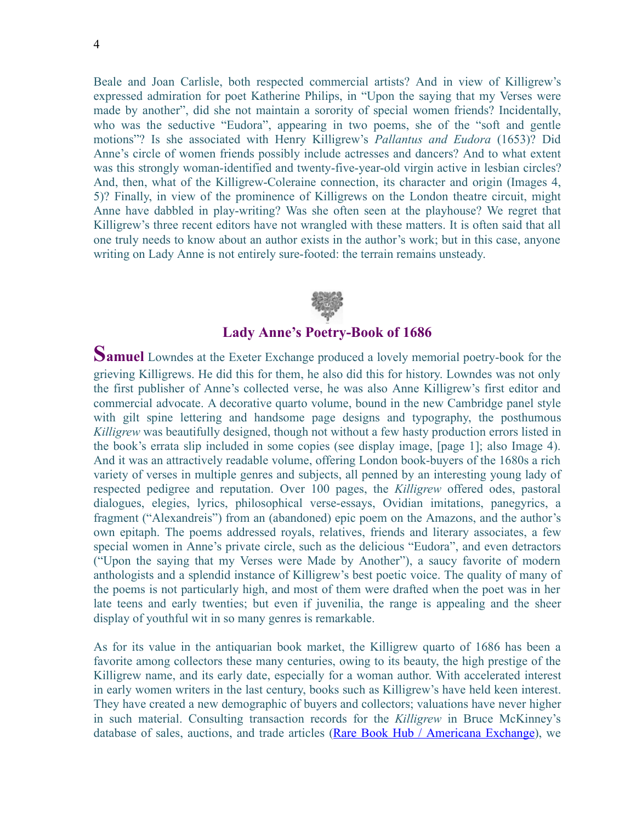Beale and Joan Carlisle, both respected commercial artists? And in view of Killigrew's expressed admiration for poet Katherine Philips, in "Upon the saying that my Verses were made by another", did she not maintain a sorority of special women friends? Incidentally, who was the seductive "Eudora", appearing in two poems, she of the "soft and gentle motions"? Is she associated with Henry Killigrew's *Pallantus and Eudora* (1653)? Did Anne's circle of women friends possibly include actresses and dancers? And to what extent was this strongly woman-identified and twenty-five-year-old virgin active in lesbian circles? And, then, what of the Killigrew-Coleraine connection, its character and origin (Images 4, 5)? Finally, in view of the prominence of Killigrews on the London theatre circuit, might Anne have dabbled in play-writing? Was she often seen at the playhouse? We regret that Killigrew's three recent editors have not wrangled with these matters. It is often said that all one truly needs to know about an author exists in the author's work; but in this case, anyone writing on Lady Anne is not entirely sure-footed: the terrain remains unsteady.



#### **Lady Anne's Poetry-Book of 1686**

**Samuel** Lowndes at the Exeter Exchange produced a lovely memorial poetry-book for the grieving Killigrews. He did this for them, he also did this for history. Lowndes was not only the first publisher of Anne's collected verse, he was also Anne Killigrew's first editor and commercial advocate. A decorative quarto volume, bound in the new Cambridge panel style with gilt spine lettering and handsome page designs and typography, the posthumous *Killigrew* was beautifully designed, though not without a few hasty production errors listed in the book's errata slip included in some copies (see display image, [page 1]; also Image 4). And it was an attractively readable volume, offering London book-buyers of the 1680s a rich variety of verses in multiple genres and subjects, all penned by an interesting young lady of respected pedigree and reputation. Over 100 pages, the *Killigrew* offered odes, pastoral dialogues, elegies, lyrics, philosophical verse-essays, Ovidian imitations, panegyrics, a fragment ("Alexandreis") from an (abandoned) epic poem on the Amazons, and the author's own epitaph. The poems addressed royals, relatives, friends and literary associates, a few special women in Anne's private circle, such as the delicious "Eudora", and even detractors ("Upon the saying that my Verses were Made by Another"), a saucy favorite of modern anthologists and a splendid instance of Killigrew's best poetic voice. The quality of many of the poems is not particularly high, and most of them were drafted when the poet was in her late teens and early twenties; but even if juvenilia, the range is appealing and the sheer display of youthful wit in so many genres is remarkable.

As for its value in the antiquarian book market, the Killigrew quarto of 1686 has been a favorite among collectors these many centuries, owing to its beauty, the high prestige of the Killigrew name, and its early date, especially for a woman author. With accelerated interest in early women writers in the last century, books such as Killigrew's have held keen interest. They have created a new demographic of buyers and collectors; valuations have never higher in such material. Consulting transaction records for the *Killigrew* in Bruce McKinney's database of sales, auctions, and trade articles [\(Rare Book Hub / Americana Exchange\)](http://www.rarebookhub.com/), we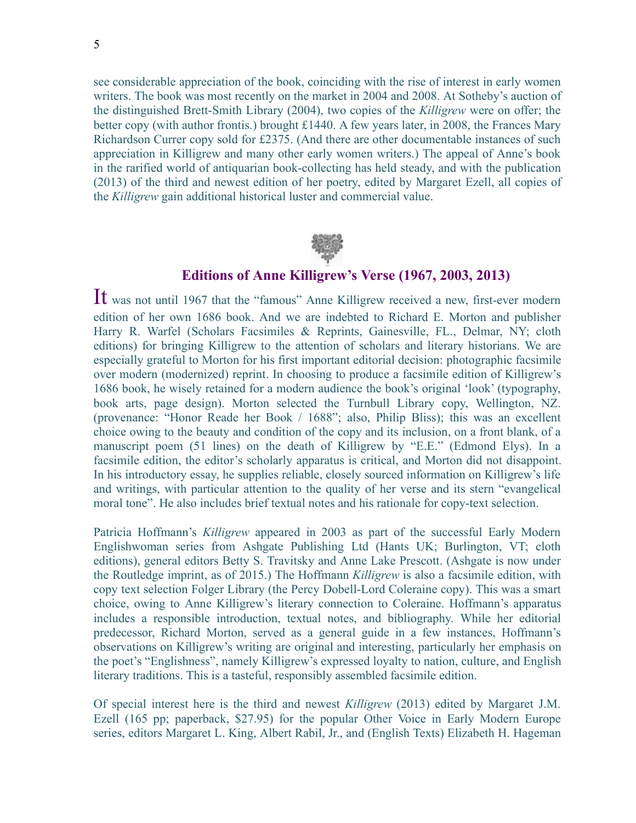see considerable appreciation of the book, coinciding with the rise of interest in early women writers. The book was most recently on the market in 2004 and 2008. At Sotheby's auction of the distinguished Brett-Smith Library (2004), two copies of the *Killigrew* were on offer; the better copy (with author frontis.) brought £1440. A few years later, in 2008, the Frances Mary Richardson Currer copy sold for £2375. (And there are other documentable instances of such appreciation in Killigrew and many other early women writers.) The appeal of Anne's book in the rarified world of antiquarian book-collecting has held steady, and with the publication (2013) of the third and newest edition of her poetry, edited by Margaret Ezell, all copies of the *Killigrew* gain additional historical luster and commercial value.



#### **Editions of Anne Killigrew's Verse (1967, 2003, 2013)**

It was not until 1967 that the "famous" Anne Killigrew received a new, first-ever modern edition of her own 1686 book. And we are indebted to Richard E. Morton and publisher Harry R. Warfel (Scholars Facsimiles & Reprints, Gainesville, FL., Delmar, NY; cloth editions) for bringing Killigrew to the attention of scholars and literary historians. We are especially grateful to Morton for his first important editorial decision: photographic facsimile over modern (modernized) reprint. In choosing to produce a facsimile edition of Killigrew's 1686 book, he wisely retained for a modern audience the book's original 'look' (typography, book arts, page design). Morton selected the Turnbull Library copy, Wellington, NZ. (provenance: "Honor Reade her Book / 1688"; also, Philip Bliss); this was an excellent choice owing to the beauty and condition of the copy and its inclusion, on a front blank, of a manuscript poem (51 lines) on the death of Killigrew by "E.E." (Edmond Elys). In a facsimile edition, the editor's scholarly apparatus is critical, and Morton did not disappoint. In his introductory essay, he supplies reliable, closely sourced information on Killigrew's life and writings, with particular attention to the quality of her verse and its stern "evangelical moral tone". He also includes brief textual notes and his rationale for copy-text selection.

Patricia Hoffmann's *Killigrew* appeared in 2003 as part of the successful Early Modern Englishwoman series from Ashgate Publishing Ltd (Hants UK; Burlington, VT; cloth editions), general editors Betty S. Travitsky and Anne Lake Prescott. (Ashgate is now under the Routledge imprint, as of 2015.) The Hoffmann *Killigrew* is also a facsimile edition, with copy text selection Folger Library (the Percy Dobell-Lord Coleraine copy). This was a smart choice, owing to Anne Killigrew's literary connection to Coleraine. Hoffmann's apparatus includes a responsible introduction, textual notes, and bibliography. While her editorial predecessor, Richard Morton, served as a general guide in a few instances, Hoffmann's observations on Killigrew's writing are original and interesting, particularly her emphasis on the poet's "Englishness", namely Killigrew's expressed loyalty to nation, culture, and English literary traditions. This is a tasteful, responsibly assembled facsimile edition.

Of special interest here is the third and newest *Killigrew* (2013) edited by Margaret J.M. Ezell (165 pp; paperback, \$27.95) for the popular Other Voice in Early Modern Europe series, editors Margaret L. King, Albert Rabil, Jr., and (English Texts) Elizabeth H. Hageman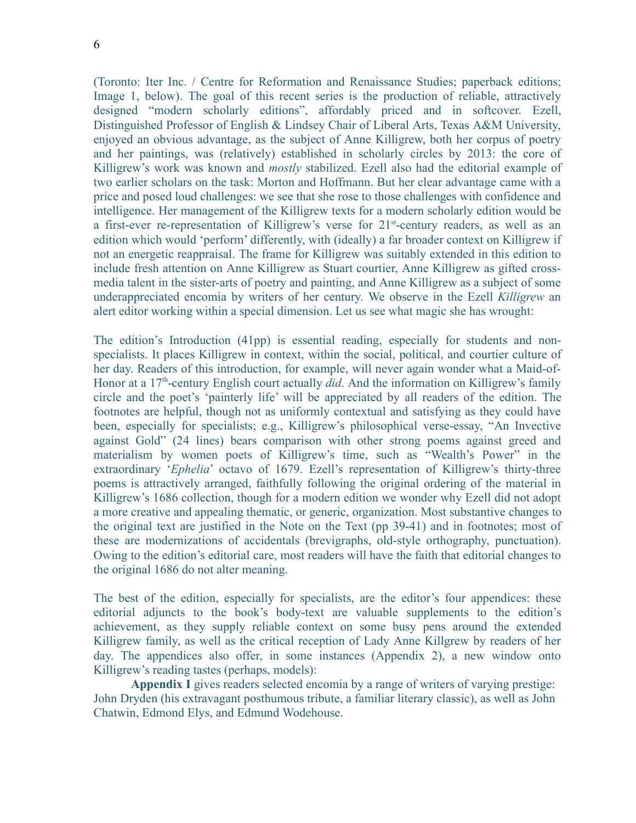(Toronto: Iter Inc. / Centre for Reformation and Renaissance Studies; paperback editions; Image 1, below). The goal of this recent series is the production of reliable, attractively designed "modern scholarly editions", affordably priced and in softcover. Ezell, Distinguished Professor of English & Lindsey Chair of Liberal Arts, Texas A&M University, enjoyed an obvious advantage, as the subject of Anne Killigrew, both her corpus of poetry and her paintings, was (relatively) established in scholarly circles by 2013: the core of Killigrew's work was known and *mostly* stabilized. Ezell also had the editorial example of two earlier scholars on the task: Morton and Hoffmann. But her clear advantage came with a price and posed loud challenges: we see that she rose to those challenges with confidence and intelligence. Her management of the Killigrew texts for a modern scholarly edition would be a first-ever re-representation of Killigrew's verse for 21<sup>st</sup>-century readers, as well as an edition which would 'perform' differently, with (ideally) a far broader context on Killigrew if not an energetic reappraisal. The frame for Killigrew was suitably extended in this edition to include fresh attention on Anne Killigrew as Stuart courtier, Anne Killigrew as gifted crossmedia talent in the sister-arts of poetry and painting, and Anne Killigrew as a subject of some underappreciated encomia by writers of her century. We observe in the Ezell *Killigrew* an alert editor working within a special dimension. Let us see what magic she has wrought:

The edition's Introduction (41pp) is essential reading, especially for students and nonspecialists. It places Killigrew in context, within the social, political, and courtier culture of her day. Readers of this introduction, for example, will never again wonder what a Maid-of-Honor at a 17<sup>th</sup>-century English court actually *did*. And the information on Killigrew's family circle and the poet's 'painterly life' will be appreciated by all readers of the edition. The footnotes are helpful, though not as uniformly contextual and satisfying as they could have been, especially for specialists; e.g., Killigrew's philosophical verse-essay, "An Invective against Gold" (24 lines) bears comparison with other strong poems against greed and materialism by women poets of Killigrew's time, such as "Wealth's Power" in the extraordinary '*Ephelia*' octavo of 1679. Ezell's representation of Killigrew's thirty-three poems is attractively arranged, faithfully following the original ordering of the material in Killigrew's 1686 collection, though for a modern edition we wonder why Ezell did not adopt a more creative and appealing thematic, or generic, organization. Most substantive changes to the original text are justified in the Note on the Text (pp 39-41) and in footnotes; most of these are modernizations of accidentals (brevigraphs, old-style orthography, punctuation). Owing to the edition's editorial care, most readers will have the faith that editorial changes to the original 1686 do not alter meaning.

The best of the edition, especially for specialists, are the editor's four appendices: these editorial adjuncts to the book's body-text are valuable supplements to the edition's achievement, as they supply reliable context on some busy pens around the extended Killigrew family, as well as the critical reception of Lady Anne Killgrew by readers of her day. The appendices also offer, in some instances (Appendix 2), a new window onto Killigrew's reading tastes (perhaps, models):

 **Appendix I** gives readers selected encomia by a range of writers of varying prestige: John Dryden (his extravagant posthumous tribute, a familiar literary classic), as well as John Chatwin, Edmond Elys, and Edmund Wodehouse.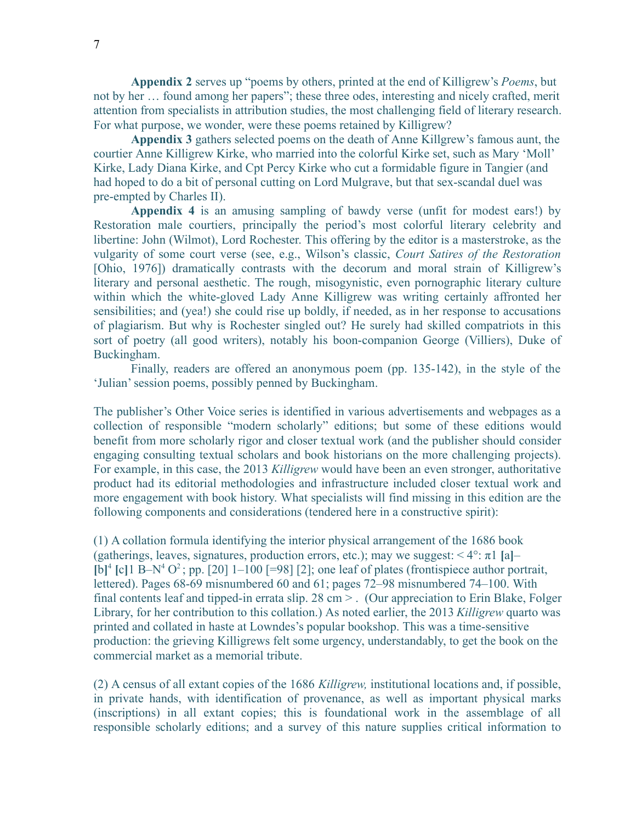**Appendix 2** serves up "poems by others, printed at the end of Killigrew's *Poems*, but not by her … found among her papers"; these three odes, interesting and nicely crafted, merit attention from specialists in attribution studies, the most challenging field of literary research. For what purpose, we wonder, were these poems retained by Killigrew?

**Appendix 3** gathers selected poems on the death of Anne Killgrew's famous aunt, the courtier Anne Killigrew Kirke, who married into the colorful Kirke set, such as Mary 'Moll' Kirke, Lady Diana Kirke, and Cpt Percy Kirke who cut a formidable figure in Tangier (and had hoped to do a bit of personal cutting on Lord Mulgrave, but that sex-scandal duel was pre-empted by Charles II).

**Appendix 4** is an amusing sampling of bawdy verse (unfit for modest ears!) by Restoration male courtiers, principally the period's most colorful literary celebrity and libertine: John (Wilmot), Lord Rochester. This offering by the editor is a masterstroke, as the vulgarity of some court verse (see, e.g., Wilson's classic, *Court Satires of the Restoration* [Ohio, 1976]) dramatically contrasts with the decorum and moral strain of Killigrew's literary and personal aesthetic. The rough, misogynistic, even pornographic literary culture within which the white-gloved Lady Anne Killigrew was writing certainly affronted her sensibilities; and (yea!) she could rise up boldly, if needed, as in her response to accusations of plagiarism. But why is Rochester singled out? He surely had skilled compatriots in this sort of poetry (all good writers), notably his boon-companion George (Villiers), Duke of Buckingham.

Finally, readers are offered an anonymous poem (pp. 135-142), in the style of the 'Julian' session poems, possibly penned by Buckingham.

The publisher's Other Voice series is identified in various advertisements and webpages as a collection of responsible "modern scholarly" editions; but some of these editions would benefit from more scholarly rigor and closer textual work (and the publisher should consider engaging consulting textual scholars and book historians on the more challenging projects). For example, in this case, the 2013 *Killigrew* would have been an even stronger, authoritative product had its editorial methodologies and infrastructure included closer textual work and more engagement with book history. What specialists will find missing in this edition are the following components and considerations (tendered here in a constructive spirit):

(1) A collation formula identifying the interior physical arrangement of the 1686 book (gatherings, leaves, signatures, production errors, etc.); may we suggest: < 4°: π1 **[**a**]**–  $[b]^4$  [c] 1 B–N<sup>4</sup> O<sup>2</sup>; pp. [20] 1–100 [=98] [2]; one leaf of plates (frontispiece author portrait, lettered). Pages 68-69 misnumbered 60 and 61; pages 72–98 misnumbered 74–100. With final contents leaf and tipped-in errata slip. 28 cm > . (Our appreciation to Erin Blake, Folger Library, for her contribution to this collation.) As noted earlier, the 2013 *Killigrew* quarto was printed and collated in haste at Lowndes's popular bookshop. This was a time-sensitive production: the grieving Killigrews felt some urgency, understandably, to get the book on the commercial market as a memorial tribute.

(2) A census of all extant copies of the 1686 *Killigrew,* institutional locations and, if possible, in private hands, with identification of provenance, as well as important physical marks (inscriptions) in all extant copies; this is foundational work in the assemblage of all responsible scholarly editions; and a survey of this nature supplies critical information to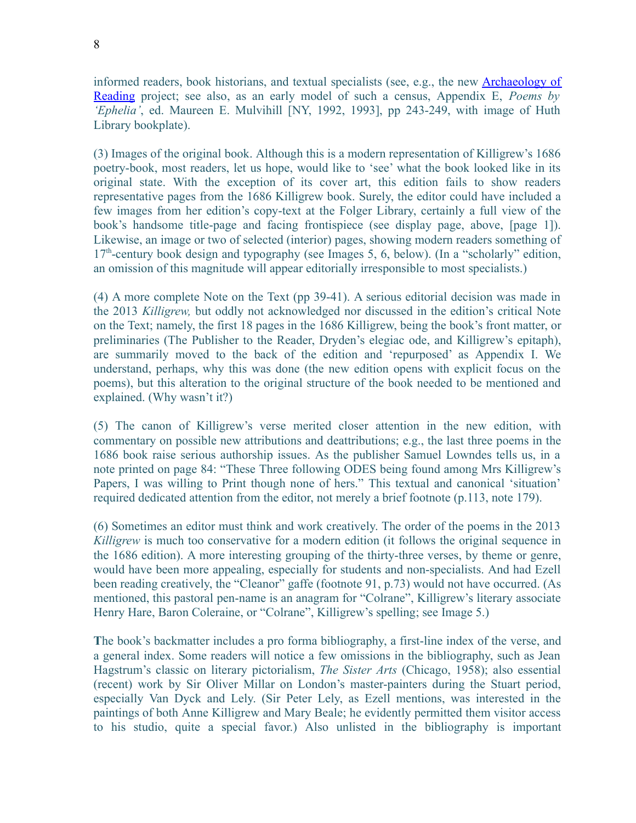informed readers, book historians, and textual specialists (see, e.g., the new [Archaeology of](http://www.archaeologyofreading.org/) [Reading](http://www.archaeologyofreading.org/) project; see also, as an early model of such a census, Appendix E, *Poems by 'Ephelia'*, ed. Maureen E. Mulvihill [NY, 1992, 1993], pp 243-249, with image of Huth Library bookplate).

(3) Images of the original book. Although this is a modern representation of Killigrew's 1686 poetry-book, most readers, let us hope, would like to 'see' what the book looked like in its original state. With the exception of its cover art, this edition fails to show readers representative pages from the 1686 Killigrew book. Surely, the editor could have included a few images from her edition's copy-text at the Folger Library, certainly a full view of the book's handsome title-page and facing frontispiece (see display page, above, [page 1]). Likewise, an image or two of selected (interior) pages, showing modern readers something of  $17<sup>th</sup>$ -century book design and typography (see Images 5, 6, below). (In a "scholarly" edition, an omission of this magnitude will appear editorially irresponsible to most specialists.)

(4) A more complete Note on the Text (pp 39-41). A serious editorial decision was made in the 2013 *Killigrew,* but oddly not acknowledged nor discussed in the edition's critical Note on the Text; namely, the first 18 pages in the 1686 Killigrew, being the book's front matter, or preliminaries (The Publisher to the Reader, Dryden's elegiac ode, and Killigrew's epitaph), are summarily moved to the back of the edition and 'repurposed' as Appendix I. We understand, perhaps, why this was done (the new edition opens with explicit focus on the poems), but this alteration to the original structure of the book needed to be mentioned and explained. (Why wasn't it?)

(5) The canon of Killigrew's verse merited closer attention in the new edition, with commentary on possible new attributions and deattributions; e.g., the last three poems in the 1686 book raise serious authorship issues. As the publisher Samuel Lowndes tells us, in a note printed on page 84: "These Three following ODES being found among Mrs Killigrew's Papers, I was willing to Print though none of hers." This textual and canonical 'situation' required dedicated attention from the editor, not merely a brief footnote (p.113, note 179).

(6) Sometimes an editor must think and work creatively. The order of the poems in the 2013 *Killigrew* is much too conservative for a modern edition (it follows the original sequence in the 1686 edition). A more interesting grouping of the thirty-three verses, by theme or genre, would have been more appealing, especially for students and non-specialists. And had Ezell been reading creatively, the "Cleanor" gaffe (footnote 91, p.73) would not have occurred. (As mentioned, this pastoral pen-name is an anagram for "Colrane", Killigrew's literary associate Henry Hare, Baron Coleraine, or "Colrane", Killigrew's spelling; see Image 5.)

**T**he book's backmatter includes a pro forma bibliography, a first-line index of the verse, and a general index. Some readers will notice a few omissions in the bibliography, such as Jean Hagstrum's classic on literary pictorialism, *The Sister Arts* (Chicago, 1958); also essential (recent) work by Sir Oliver Millar on London's master-painters during the Stuart period, especially Van Dyck and Lely. (Sir Peter Lely, as Ezell mentions, was interested in the paintings of both Anne Killigrew and Mary Beale; he evidently permitted them visitor access to his studio, quite a special favor.) Also unlisted in the bibliography is important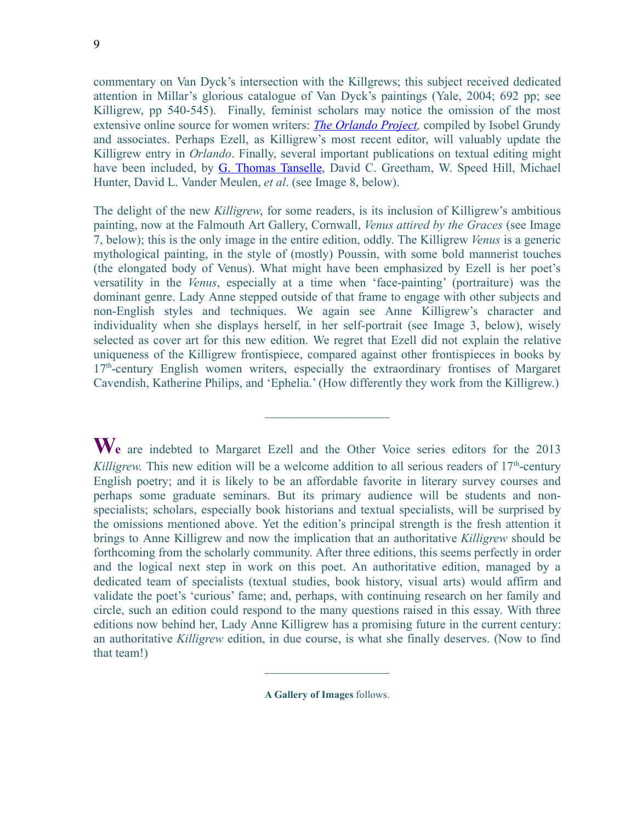commentary on Van Dyck's intersection with the Killgrews; this subject received dedicated attention in Millar's glorious catalogue of Van Dyck's paintings (Yale, 2004; 692 pp; see Killigrew, pp 540-545). Finally, feminist scholars may notice the omission of the most extensive online source for women writers: *[The Orlando Project,](http://www.artsrn.ualberta.ca/orlando/)* compiled by Isobel Grundy and associates. Perhaps Ezell, as Killigrew's most recent editor, will valuably update the Killigrew entry in *Orlando*. Finally, several important publications on textual editing might have been included, by [G. Thomas Tanselle,](http://www.bookartspress.net/tanselle/) David C. Greetham, W. Speed Hill, Michael Hunter, David L. Vander Meulen, *et al*. (see Image 8, below).

The delight of the new *Killigrew*, for some readers, is its inclusion of Killigrew's ambitious painting, now at the Falmouth Art Gallery, Cornwall, *Venus attired by the Graces* (see Image 7, below); this is the only image in the entire edition, oddly. The Killigrew *Venus* is a generic mythological painting, in the style of (mostly) Poussin, with some bold mannerist touches (the elongated body of Venus). What might have been emphasized by Ezell is her poet's versatility in the *Venus*, especially at a time when 'face-painting' (portraiture) was the dominant genre. Lady Anne stepped outside of that frame to engage with other subjects and non-English styles and techniques. We again see Anne Killigrew's character and individuality when she displays herself, in her self-portrait (see Image 3, below), wisely selected as cover art for this new edition. We regret that Ezell did not explain the relative uniqueness of the Killigrew frontispiece, compared against other frontispieces in books by  $17<sup>th</sup>$ -century English women writers, especially the extraordinary frontises of Margaret Cavendish, Katherine Philips, and 'Ephelia.' (How differently they work from the Killigrew.)

 $\mathcal{L}_\text{max}$  , where  $\mathcal{L}_\text{max}$ 

**We** are indebted to Margaret Ezell and the Other Voice series editors for the 2013 *Killigrew.* This new edition will be a welcome addition to all serious readers of  $17<sup>th</sup>$ -century English poetry; and it is likely to be an affordable favorite in literary survey courses and perhaps some graduate seminars. But its primary audience will be students and nonspecialists; scholars, especially book historians and textual specialists, will be surprised by the omissions mentioned above. Yet the edition's principal strength is the fresh attention it brings to Anne Killigrew and now the implication that an authoritative *Killigrew* should be forthcoming from the scholarly community. After three editions, this seems perfectly in order and the logical next step in work on this poet. An authoritative edition, managed by a dedicated team of specialists (textual studies, book history, visual arts) would affirm and validate the poet's 'curious' fame; and, perhaps, with continuing research on her family and circle, such an edition could respond to the many questions raised in this essay. With three editions now behind her, Lady Anne Killigrew has a promising future in the current century: an authoritative *Killigrew* edition, in due course, is what she finally deserves. (Now to find that team!)

**A Gallery of Images** follows.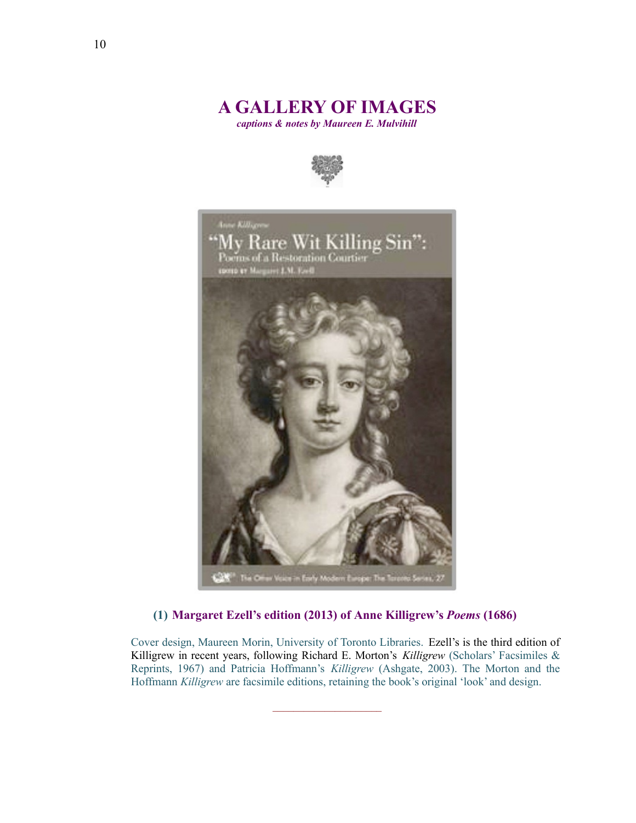# **A GALLERY OF IMAGES**

*captions & notes by Maureen E. Mulvihill*





#### **(1) Margaret Ezell's edition (2013) of Anne Killigrew's** *Poems* **(1686)**

Cover design, Maureen Morin, University of Toronto Libraries. Ezell's is the third edition of Killigrew in recent years, following Richard E. Morton's *Killigrew* (Scholars' Facsimiles & Reprints, 1967) and Patricia Hoffmann's *Killigrew* (Ashgate, 2003). The Morton and the Hoffmann *Killigrew* are facsimile editions, retaining the book's original 'look' and design.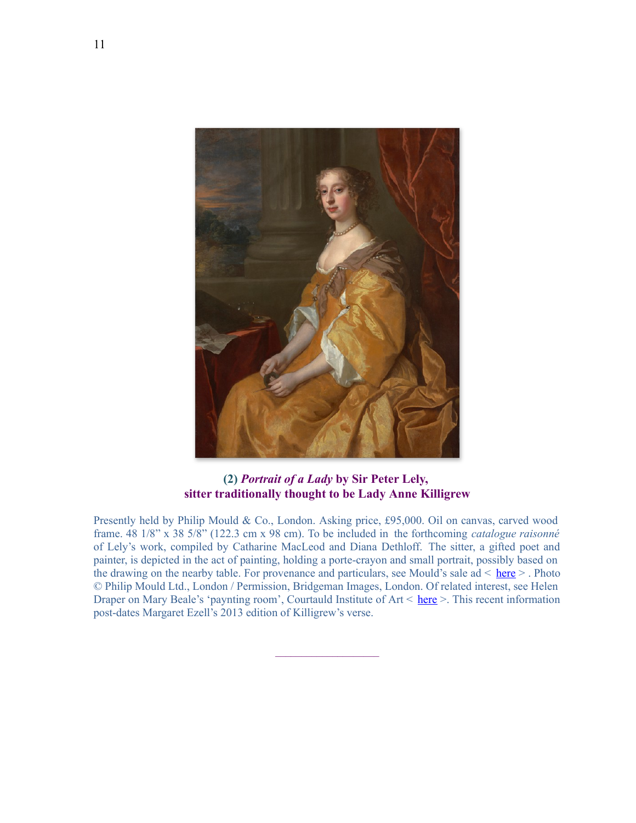

#### **(2)** *Portrait of a Lady* **by Sir Peter Lely, sitter traditionally thought to be Lady Anne Killigrew**

Presently held by Philip Mould & Co., London. Asking price, £95,000. Oil on canvas, carved wood frame. 48 1/8" x 38 5/8" (122.3 cm x 98 cm). To be included in the forthcoming *catalogue raisonné* of Lely's work, compiled by Catharine MacLeod and Diana Dethloff. The sitter, a gifted poet and painter, is depicted in the act of painting, holding a porte-crayon and small portrait, possibly based on the drawing on the nearby table. For provenance and particulars, see Mould's sale ad < [here](http://philipmould.com/browse-art/old-masters/16th-17th-century/anne-killigrew-lely) > . Photo © Philip Mould Ltd., London / Permission, Bridgeman Images, London. Of related interest, see Helen Draper on Mary Beale's 'paynting room', Courtauld Institute of  $Art < here >$ . This recent information post-dates Margaret Ezell's 2013 edition of Killigrew's verse.

 $\overline{\phantom{a}}$  , where  $\overline{\phantom{a}}$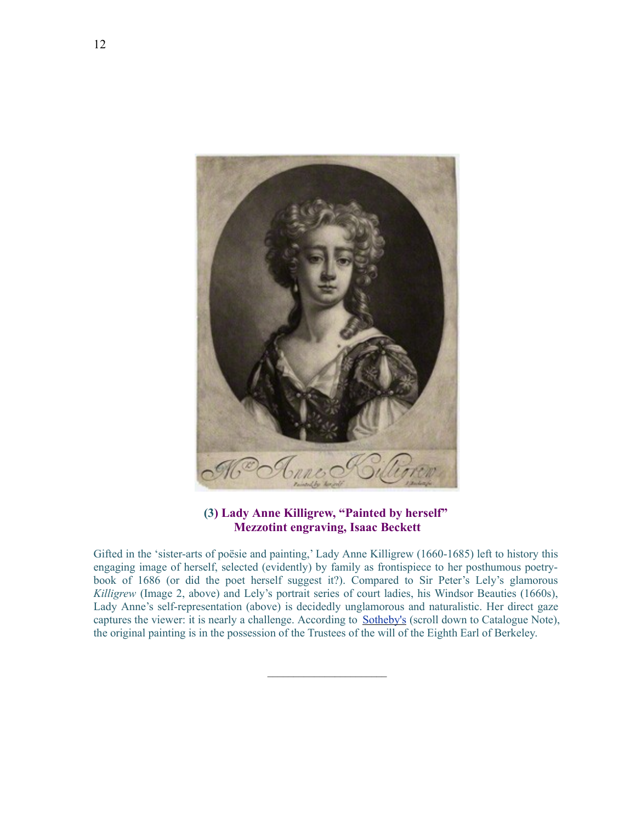

#### **(3) Lady Anne Killigrew, "Painted by herself" Mezzotint engraving, Isaac Beckett**

Gifted in the 'sister-arts of poësie and painting,' Lady Anne Killigrew (1660-1685) left to history this engaging image of herself, selected (evidently) by family as frontispiece to her posthumous poetrybook of 1686 (or did the poet herself suggest it?). Compared to Sir Peter's Lely's glamorous *Killigrew* (Image 2, above) and Lely's portrait series of court ladies, his Windsor Beauties (1660s), Lady Anne's self-representation (above) is decidedly unglamorous and naturalistic. Her direct gaze captures the viewer: it is nearly a challenge. According to [Sotheby's](http://www.sothebys.com/en/auctions/ecatalogue/lot.22.html/2004/early-british-pictures-l04125) (scroll down to Catalogue Note), the original painting is in the possession of the Trustees of the will of the Eighth Earl of Berkeley.

 $\mathcal{L}_\text{max}$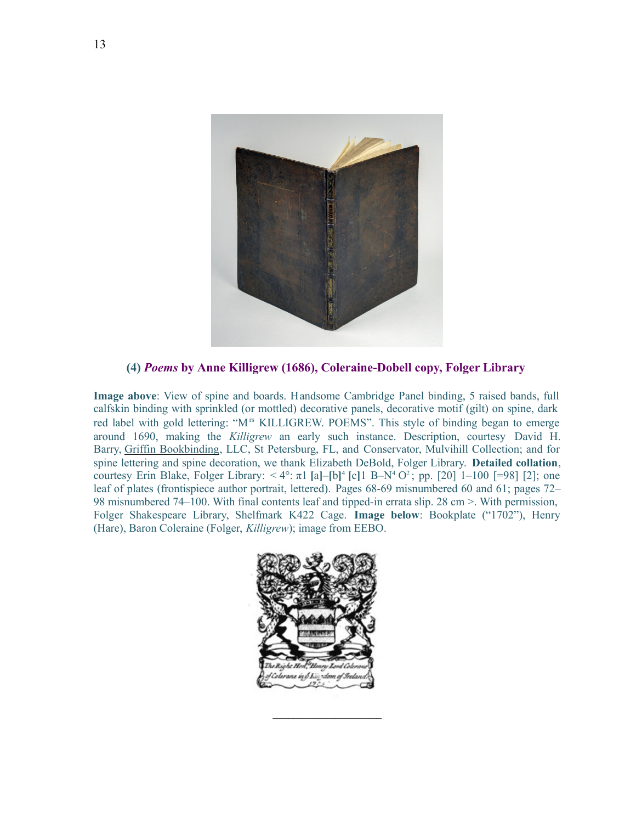

**(4)** *Poems* **by Anne Killigrew (1686), Coleraine-Dobell copy, Folger Library** 

**Image above**: View of spine and boards. Handsome Cambridge Panel binding, 5 raised bands, full calfskin binding with sprinkled (or mottled) decorative panels, decorative motif (gilt) on spine, dark red label with gold lettering: "M<sup>rs</sup> KILLIGREW. POEMS". This style of binding began to emerge around 1690, making the *Killigrew* an early such instance. Description, courtesy David H. Barry, [Griffin Bookbinding,](http://griffinbookbinding.com/) LLC, St Petersburg, FL, and Conservator, Mulvihill Collection; and for spine lettering and spine decoration, we thank Elizabeth DeBold, Folger Library. **Detailed collation**, courtesy Erin Blake, Folger Library: < 4°: π1 **[**a**]**–**[**b**]** 4 **[**c**]**1 B–N<sup>4</sup> O 2 ; pp. [20] 1–100 [=98] [2]; one leaf of plates (frontispiece author portrait, lettered). Pages 68-69 misnumbered 60 and 61; pages 72– 98 misnumbered 74–100. With final contents leaf and tipped-in errata slip. 28 cm >. With permission, Folger Shakespeare Library, Shelfmark K422 Cage. **Image below**: Bookplate ("1702"), Henry (Hare), Baron Coleraine (Folger, *Killigrew*); image from EEBO.



 $\mathcal{L}_\text{max}$  and  $\mathcal{L}_\text{max}$  and  $\mathcal{L}_\text{max}$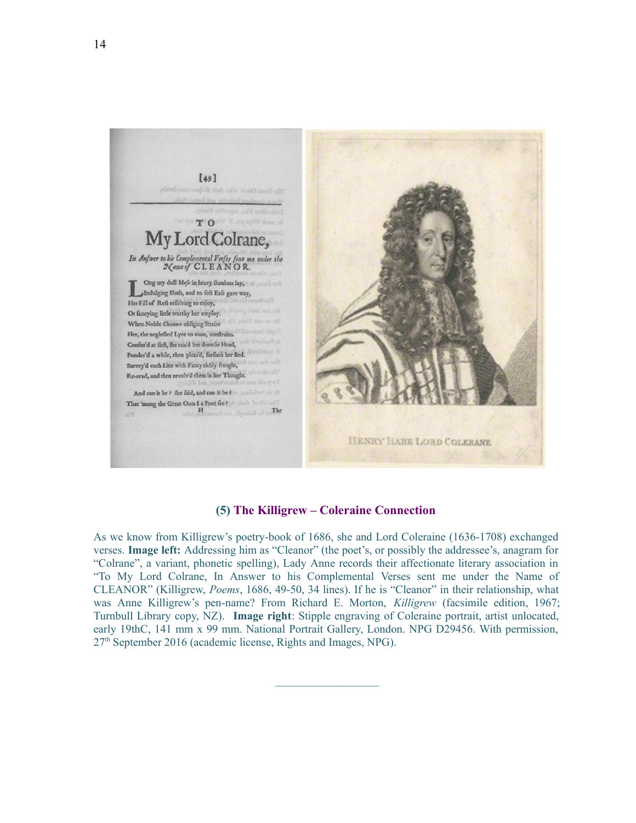

#### **(5) The Killigrew – Coleraine Connection**

As we know from Killigrew's poetry-book of 1686, she and Lord Coleraine (1636-1708) exchanged verses. **Image left:** Addressing him as "Cleanor" (the poet's, or possibly the addressee's, anagram for "Colrane", a variant, phonetic spelling), Lady Anne records their affectionate literary association in "To My Lord Colrane, In Answer to his Complemental Verses sent me under the Name of CLEANOR" (Killigrew, *Poems*, 1686, 49-50, 34 lines). If he is "Cleanor" in their relationship, what was Anne Killigrew's pen-name? From Richard E. Morton, *Killigrew* (facsimile edition, 1967; Turnbull Library copy, NZ). **Image right**: Stipple engraving of Coleraine portrait, artist unlocated, early 19thC, 141 mm x 99 mm. National Portrait Gallery, London. NPG D29456. With permission,  $27<sup>th</sup>$  September 2016 (academic license, Rights and Images, NPG).

 $\mathcal{L}=\mathcal{L}^{\mathcal{L}}$  , where  $\mathcal{L}^{\mathcal{L}}$  , we have the set of the set of the set of the set of the set of the set of the set of the set of the set of the set of the set of the set of the set of the set of the set of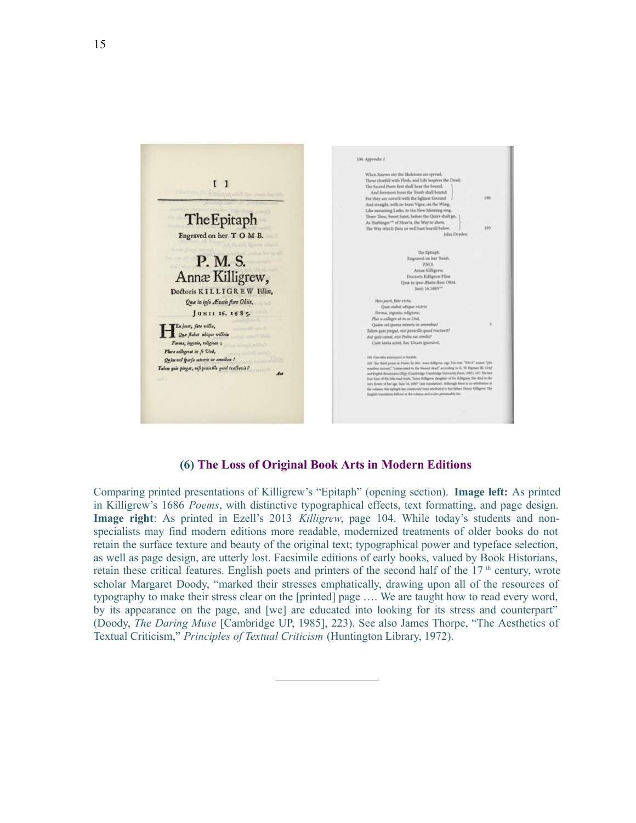

#### **(6) The Loss of Original Book Arts in Modern Editions**

Comparing printed presentations of Killigrew's "Epitaph" (opening section). **Image left:** As printed in Killigrew's 1686 *Poems*, with distinctive typographical effects, text formatting, and page design. **Image right**: As printed in Ezell's 2013 *Killigrew*, page 104. While today's students and nonspecialists may find modern editions more readable, modernized treatments of older books do not retain the surface texture and beauty of the original text; typographical power and typeface selection, as well as page design, are utterly lost. Facsimile editions of early books, valued by Book Historians, retain these critical features. English poets and printers of the second half of the  $17<sup>th</sup>$  century, wrote scholar Margaret Doody, "marked their stresses emphatically, drawing upon all of the resources of typography to make their stress clear on the [printed] page …. We are taught how to read every word, by its appearance on the page, and [we] are educated into looking for its stress and counterpart" (Doody, *The Daring Muse* [Cambridge UP, 1985], 223). See also James Thorpe, "The Aesthetics of Textual Criticism," *Principles of Textual Criticism* (Huntington Library, 1972).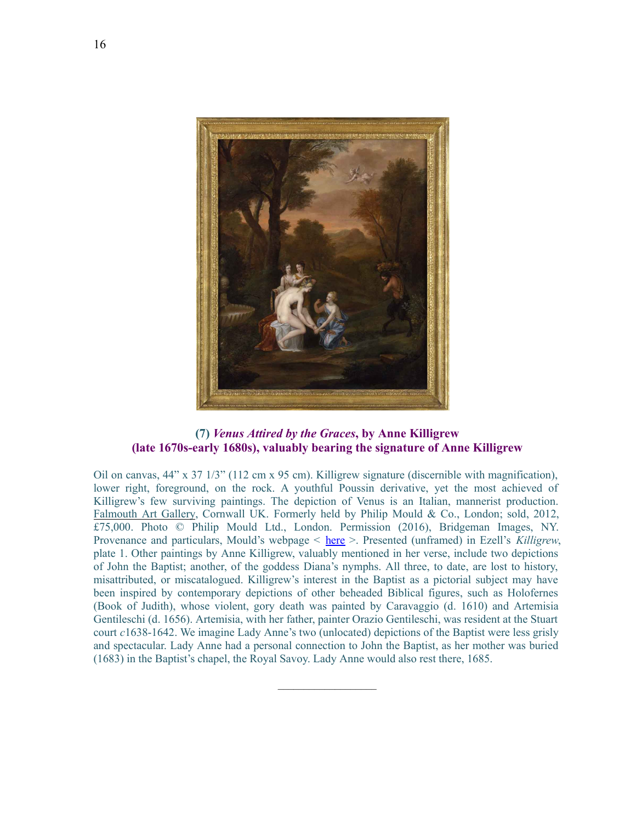

#### **(7)** *Venus Attired by the Graces***, by Anne Killigrew (late 1670s-early 1680s), valuably bearing the signature of Anne Killigrew**

Oil on canvas, 44" x 37 1/3" (112 cm x 95 cm). Killigrew signature (discernible with magnification), lower right, foreground, on the rock. A youthful Poussin derivative, yet the most achieved of Killigrew's few surviving paintings. The depiction of Venus is an Italian, mannerist production. [Falmouth Art Gallery,](http://www.falmouthartgallery.com/Collection/2012.22) Cornwall UK. Formerly held by Philip Mould & Co., London; sold, 2012, £75,000. Photo © Philip Mould Ltd., London. Permission (2016), Bridgeman Images, NY. Provenance and particulars, Mould's webpage < [here](http://www.historicalportraits.com/Gallery.asp?Page=Item&ItemID=1491&Desc=Venus-Attired-by-the-Graces-%7C-Anne-Killigrew) >. Presented (unframed) in Ezell's *Killigrew*, plate 1. Other paintings by Anne Killigrew, valuably mentioned in her verse, include two depictions of John the Baptist; another, of the goddess Diana's nymphs. All three, to date, are lost to history, misattributed, or miscatalogued. Killigrew's interest in the Baptist as a pictorial subject may have been inspired by contemporary depictions of other beheaded Biblical figures, such as Holofernes (Book of Judith), whose violent, gory death was painted by Caravaggio (d. 1610) and Artemisia Gentileschi (d. 1656). Artemisia, with her father, painter Orazio Gentileschi, was resident at the Stuart court *c*1638-1642. We imagine Lady Anne's two (unlocated) depictions of the Baptist were less grisly and spectacular. Lady Anne had a personal connection to John the Baptist, as her mother was buried (1683) in the Baptist's chapel, the Royal Savoy. Lady Anne would also rest there, 1685.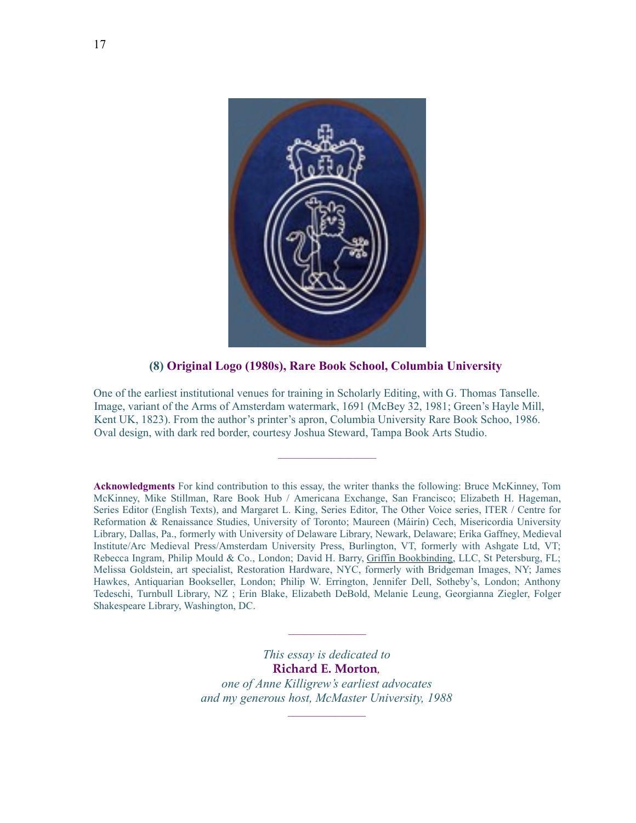

**(8) Original Logo (1980s), Rare Book School, Columbia University** 

One of the earliest institutional venues for training in Scholarly Editing, with G. Thomas Tanselle. Image, variant of the Arms of Amsterdam watermark, 1691 (McBey 32, 1981; Green's Hayle Mill, Kent UK, 1823). From the author's printer's apron, Columbia University Rare Book Schoo, 1986. Oval design, with dark red border, courtesy Joshua Steward, Tampa Book Arts Studio.

 $\mathcal{L}_\text{max}$ 

**Acknowledgments** For kind contribution to this essay, the writer thanks the following: Bruce McKinney, Tom McKinney, Mike Stillman, Rare Book Hub / Americana Exchange, San Francisco; Elizabeth H. Hageman, Series Editor (English Texts), and Margaret L. King, Series Editor, The Other Voice series, ITER / Centre for Reformation & Renaissance Studies, University of Toronto; Maureen (Máirín) Cech, Misericordia University Library, Dallas, Pa., formerly with University of Delaware Library, Newark, Delaware; Erika Gaffney, Medieval Institute/Arc Medieval Press/Amsterdam University Press, Burlington, VT, formerly with Ashgate Ltd, VT; Rebecca Ingram, Philip Mould & Co., London; David H. Barry, [Griffin Bookbinding,](http://griffinbookbinding.com/) LLC, St Petersburg, FL; Melissa Goldstein, art specialist, Restoration Hardware, NYC, formerly with Bridgeman Images, NY; James Hawkes, Antiquarian Bookseller, London; Philip W. Errington, Jennifer Dell, Sotheby's, London; Anthony Tedeschi, Turnbull Library, NZ ; Erin Blake, Elizabeth DeBold, Melanie Leung, Georgianna Ziegler, Folger Shakespeare Library, Washington, DC.

> *This essay is dedicated to* **Richard E. Morton***, one of Anne Killigrew's earliest advocates and my generous host, McMaster University, 1988*

 $\mathcal{L}_\text{max}$